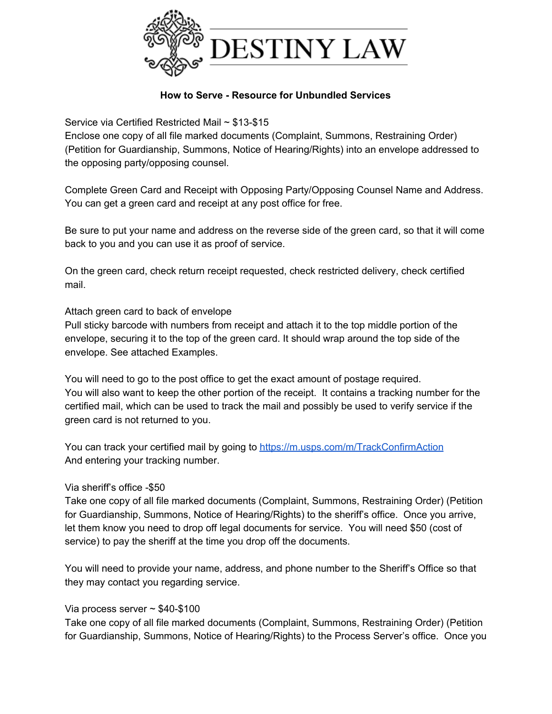

## **How to Serve - Resource for Unbundled Services**

Service via Certified Restricted Mail ~ \$13-\$15

Enclose one copy of all file marked documents (Complaint, Summons, Restraining Order) (Petition for Guardianship, Summons, Notice of Hearing/Rights) into an envelope addressed to the opposing party/opposing counsel.

Complete Green Card and Receipt with Opposing Party/Opposing Counsel Name and Address. You can get a green card and receipt at any post office for free.

Be sure to put your name and address on the reverse side of the green card, so that it will come back to you and you can use it as proof of service.

On the green card, check return receipt requested, check restricted delivery, check certified mail.

## Attach green card to back of envelope

Pull sticky barcode with numbers from receipt and attach it to the top middle portion of the envelope, securing it to the top of the green card. It should wrap around the top side of the envelope. See attached Examples.

You will need to go to the post office to get the exact amount of postage required. You will also want to keep the other portion of the receipt. It contains a tracking number for the certified mail, which can be used to track the mail and possibly be used to verify service if the green card is not returned to you.

You can track your certified mail by going t[o](https://m.usps.com/m/TrackConfirmAction) <https://m.usps.com/m/TrackConfirmAction> And entering your tracking number.

## Via sheriff's office -\$50

Take one copy of all file marked documents (Complaint, Summons, Restraining Order) (Petition for Guardianship, Summons, Notice of Hearing/Rights) to the sheriff's office. Once you arrive, let them know you need to drop off legal documents for service. You will need \$50 (cost of service) to pay the sheriff at the time you drop off the documents.

You will need to provide your name, address, and phone number to the Sheriff's Office so that they may contact you regarding service.

## Via process server  $\sim$  \$40-\$100

Take one copy of all file marked documents (Complaint, Summons, Restraining Order) (Petition for Guardianship, Summons, Notice of Hearing/Rights) to the Process Server's office. Once you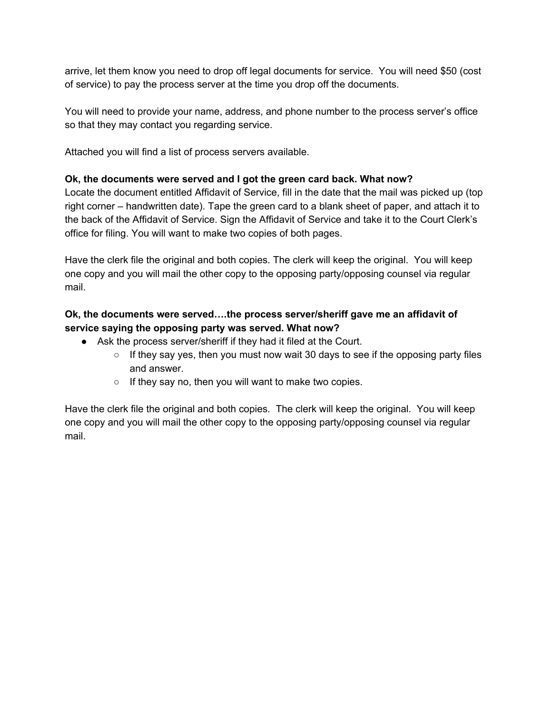arrive, let them know you need to drop off legal documents for service. You will need \$50 (cost of service) to pay the process server at the time you drop off the documents.

You will need to provide your name, address, and phone number to the process server's office so that they may contact you regarding service.

Attached you will find a list of process servers available.

## **Ok, the documents were served and I got the green card back. What now?**

Locate the document entitled Affidavit of Service, fill in the date that the mail was picked up (top right corner – handwritten date). Tape the green card to a blank sheet of paper, and attach it to the back of the Affidavit of Service. Sign the Affidavit of Service and take it to the Court Clerk's office for filing. You will want to make two copies of both pages.

Have the clerk file the original and both copies. The clerk will keep the original. You will keep one copy and you will mail the other copy to the opposing party/opposing counsel via regular mail.

# **Ok, the documents were served….the process server/sheriff gave me an affidavit of service saying the opposing party was served. What now?**

- Ask the process server/sheriff if they had it filed at the Court.
	- $\circ$  If they say yes, then you must now wait 30 days to see if the opposing party files and answer.
	- If they say no, then you will want to make two copies.

Have the clerk file the original and both copies. The clerk will keep the original. You will keep one copy and you will mail the other copy to the opposing party/opposing counsel via regular mail.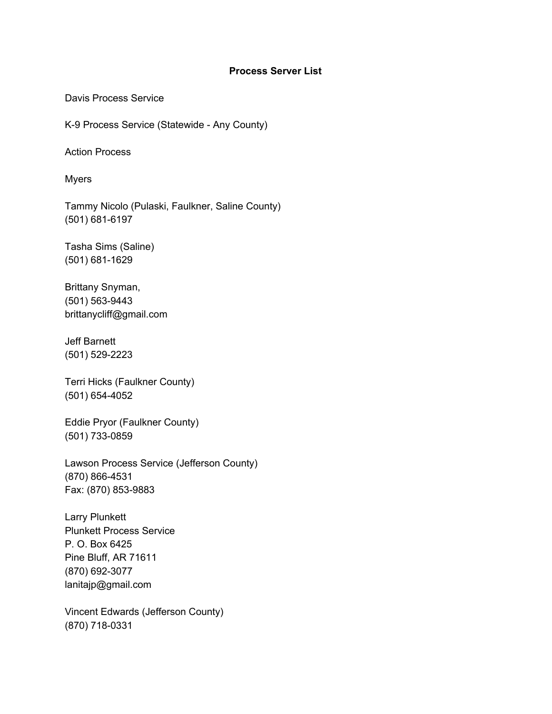#### **Process Server List**

Davis Process Service

K-9 Process Service (Statewide - Any County)

Action Process

Myers

Tammy Nicolo (Pulaski, Faulkner, Saline County) (501) 681-6197

Tasha Sims (Saline) (501) 681-1629

Brittany Snyman, (501) 563-9443 brittanycliff@gmail.com

## Jeff Barnett (501) 529-2223

Terri Hicks (Faulkner County) (501) 654-4052

Eddie Pryor (Faulkner County) (501) 733-0859

Lawson Process Service (Jefferson County) (870) 866-4531 Fax: (870) 853-9883

Larry Plunkett Plunkett Process Service P. O. Box 6425 Pine Bluff, AR 71611 (870) 692-3077 lanitajp@gmail.com

Vincent Edwards (Jefferson County) (870) 718-0331